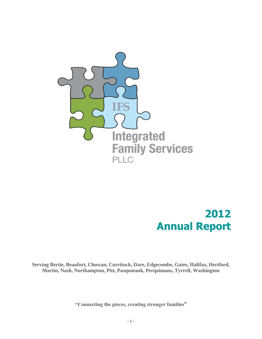

# **2012 Annual Report**

**Serving Bertie, Beaufort, Chowan, Currituck, Dare, Edgecombe, Gates, Halifax, Hertford, Martin, Nash, Northampton, Pitt, Pasquotank, Perquimans, Tyrrell, Washington**

**"Connecting the pieces, creating stronger families"**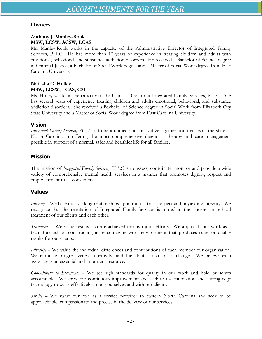## **Owners**

### **Anthony J. Manley-Rook MSW, LCSW, ACSW, LCAS**

Mr. Manley-Rook works in the capacity of the Administrative Director of Integrated Family Services, PLLC. He has more than 17 years of experience in treating children and adults with emotional, behavioral, and substance addiction disorders. He received a Bachelor of Science degree in Criminal Justice, a Bachelor of Social Work degree and a Master of Social Work degree from East Carolina University.

### **Natasha C. Holley MSW, LCSW, LCAS, CSI**

Ms. Holley works in the capacity of the Clinical Director at Integrated Family Services, PLLC. She has several years of experience treating children and adults emotional, behavioral, and substance addiction disorders. She received a Bachelor of Science degree in Social Work from Elizabeth City State University and a Master of Social Work degree from East Carolina University.

## **Vision**

*Integrated Family Services, PLLC* is to be a unified and innovative organization that leads the state of North Carolina in offering the most comprehensive diagnosis, therapy and care management possible in support of a normal, safer and healthier life for all families.

### **Mission**

The mission of *Integrated Family Services, PLLC* is to assess, coordinate, monitor and provide a wide variety of comprehensive mental health services in a manner that promotes dignity, respect and empowerment to all consumers.

### **Values**

*Integrity* – We base our working relationships upon mutual trust, respect and unyielding integrity. We recognize that the reputation of Integrated Family Services is rooted in the sincere and ethical treatment of our clients and each other.

*Teamwork* – We value results that are achieved through joint efforts. We approach our work as a team focused on constructing an encouraging work environment that produces superior quality results for our clients.

*Diversity* – We value the individual differences and contributions of each member our organization. We embrace progressiveness, creativity, and the ability to adapt to change. We believe each associate is an essential and important resource.

*Commitment to Excellence* – We set high standards for quality in our work and hold ourselves accountable. We strive for continuous improvement and seek to use innovation and cutting-edge technology to work effectively among ourselves and with our clients.

*Service* – We value our role as a service provider to eastern North Carolina and seek to be approachable, compassionate and precise in the delivery of our services.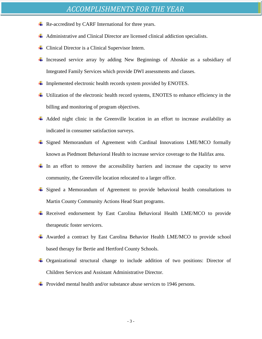- $\overline{\text{R}}$  Re-accredited by CARF International for three years.
- Administrative and Clinical Director are licensed clinical addiction specialists.
- Clinical Director is a Clinical Supervisor Intern.
- Increased service array by adding New Beginnings of Ahoskie as a subsidiary of Integrated Family Services which provide DWI assessments and classes.
- $\ddot{\text{L}}$  Implemented electronic health records system provided by ENOTES.
- Utilization of the electronic health record systems, ENOTES to enhance efficiency in the billing and monitoring of program objectives.
- $\overline{\phantom{a}}$  Added night clinic in the Greenville location in an effort to increase availability as indicated in consumer satisfaction surveys.
- Signed Memorandum of Agreement with Cardinal Innovations LME/MCO formally known as Piedmont Behavioral Health to increase service coverage to the Halifax area.
- In an effort to remove the accessibility barriers and increase the capacity to serve community, the Greenville location relocated to a larger office.
- Signed a Memorandum of Agreement to provide behavioral health consultations to Martin County Community Actions Head Start programs.
- Received endorsement by East Carolina Behavioral Health LME/MCO to provide therapeutic foster servicers.
- Awarded a contract by East Carolina Behavior Health LME/MCO to provide school based therapy for Bertie and Hertford County Schools.
- Organizational structural change to include addition of two positions: Director of Children Services and Assistant Administrative Director.
- $\ddot{\bullet}$  Provided mental health and/or substance abuse services to 1946 persons.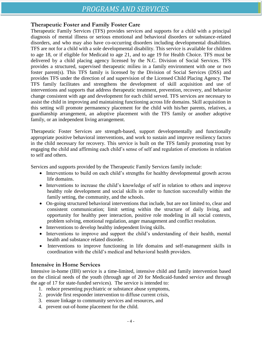# **Therapeutic Foster and Family Foster Care**

Therapeutic Family Services (TFS) provides services and supports for a child with a principal diagnosis of mental illness or serious emotional and behavioral disorders or substance-related disorders, and who may also have co-occurring disorders including developmental disabilities. TFS are not for a child with a sole developmental disability. This service is available for children to age 18, or if eligible for Medicaid to age 21, and to age 19 for Health Choice. TFS must be delivered by a child placing agency licensed by the N.C. Division of Social Services. TFS provides a structured, supervised therapeutic milieu in a family environment with one or two foster parent(s). This TFS family is licensed by the Division of Social Services (DSS) and provides TFS under the direction of and supervision of the Licensed Child Placing Agency. The TFS family facilitates and strengthens the development of skill acquisition and use of interventions and supports that address therapeutic treatment, prevention, recovery, and behavior change consistent with age and development for each child served. TFS services are necessary to assist the child in improving and maintaining functioning across life domains. Skill acquisition in this setting will promote permanency placement for the child with his/her parents, relatives, a guardianship arrangement, an adoptive placement with the TFS family or another adoptive family, or an independent living arrangement.

Therapeutic Foster Services are strength-based, support developmentally and functionally appropriate positive behavioral interventions, and work to sustain and improve resiliency factors in the child necessary for recovery. This service is built on the TFS family promoting trust by engaging the child and affirming each child's sense of self and regulation of emotions in relation to self and others.

Services and supports provided by the Therapeutic Family Services family include:

- Interventions to build on each child's strengths for healthy developmental growth across life domains.
- Interventions to increase the child's knowledge of self in relation to others and improve healthy role development and social skills in order to function successfully within the family setting, the community, and the schools.
- On-going structured behavioral interventions that include, but are not limited to, clear and consistent communication; limit setting within the structure of daily living, and opportunity for healthy peer interaction, positive role modeling in all social contexts, problem solving, emotional regulation, anger management and conflict resolution.
- Interventions to develop healthy independent living skills.
- Interventions to improve and support the child's understanding of their health, mental health and substance related disorder.
- Interventions to improve functioning in life domains and self-management skills in coordination with the child's medical and behavioral health providers.

# **Intensive in Home Services**

Intensive in-home (IIH) service is a time-limited, intensive child and family intervention based on the clinical needs of the youth (through age of 20 for Medicaid-funded service and through the age of 17 for state-funded services). The service is intended to:

- 1. reduce presenting psychiatric or substance abuse symptoms,
- 2. provide first responder intervention to diffuse current crisis,
- 3. ensure linkage to community services and resources, and
- 4. prevent out-of-home placement for the child.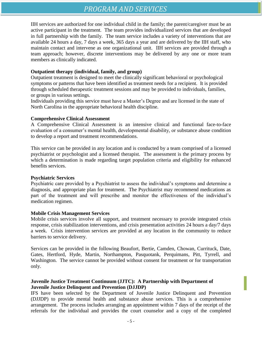# *PROGRAM AND SERVICES*

IIH services are authorized for one individual child in the family; the parent/caregiver must be an active participant in the treatment. The team provides individualized services that are developed in full partnership with the family. The team service includes a variety of interventions that are available 24 hours a day, 7 days a week, 365 days a year and are delivered by the IIH staff, who maintain contact and intervene as one organizational unit. IIH services are provided through a team approach; however, discrete interventions may be delivered by any one or more team members as clinically indicated.

### **Outpatient therapy (individual, family, and group)**

Outpatient treatment is designed to meet the clinically significant behavioral or psychological symptoms or patterns that have been identified as treatment needs for a recipient. It is provided through scheduled therapeutic treatment sessions and may be provided to individuals, families, or groups in various settings.

Individuals providing this service must have a Master's Degree and are licensed in the state of North Carolina in the appropriate behavioral health discipline.

### **Comprehensive Clinical Assessment**

A Comprehensive Clinical Assessment is an intensive clinical and functional face-to-face evaluation of a consumer's mental health, developmental disability, or substance abuse condition to develop a report and treatment recommendations.

This service can be provided in any location and is conducted by a team comprised of a licensed psychiatrist or psychologist and a licensed therapist. The assessment is the primary process by which a determination is made regarding target population criteria and eligibility for enhanced benefits services.

#### **Psychiatric Services**

Psychiatric care provided by a Psychiatrist to assess the individual's symptoms and determine a diagnosis, and appropriate plan for treatment. The Psychiatrist may recommend medications as part of the treatment and will prescribe and monitor the effectiveness of the individual's medication regimen.

#### **Mobile Crisis Management Services**

Mobile crisis services involve all support, and treatment necessary to provide integrated crisis response, crisis stabilization interventions, and crisis presentation activities 24 hours a day/7 days a week. Crisis intervention services are provided at any location in the community to reduce barriers to service delivery.

Services can be provided in the following Beaufort, Bertie, Camden, Chowan, Currituck, Date, Gates, Hertford, Hyde, Martin, Northampton, Pasquotank, Perquimans, Pitt, Tyrrell, and Washington. The service cannot be provided without consent for treatment or for transportation only.

### **Juvenile Justice Treatment Continuum (JJTC): A Partnership with Department of Juvenile Justice Delinquent and Prevention (DJJDP)**

IFS have been selected by the Department of Juvenile Justice Delinquent and Prevention (DJJDP) to provide mental health and substance abuse services. This is a comprehensive arrangement. The process includes arranging an appointment within 7 days of the receipt of the referrals for the individual and provides the court counselor and a copy of the completed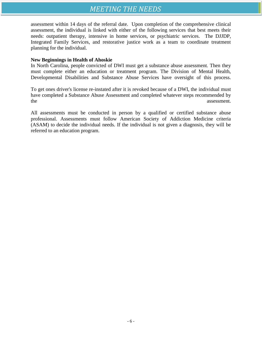# *MEETING THE NEEDS*

assessment within 14 days of the referral date. Upon completion of the comprehensive clinical assessment, the individual is linked with either of the following services that best meets their needs: outpatient therapy, intensive in home services, or psychiatric services. The DJJDP, Integrated Family Services, and restorative justice work as a team to coordinate treatment planning for the individual.

#### **New Beginnings in Health of Ahoskie**

In North Carolina, people convicted of DWI must get a substance abuse assessment. Then they must complete either an education or treatment program. The Division of Mental Health, Developmental Disabilities and Substance Abuse Services have oversight of this process.

To get ones driver's license re-instated after it is revoked because of a DWI, the individual must have completed a Substance Abuse Assessment and completed whatever steps recommended by the assessment.

All assessments must be conducted in person by a qualified or certified substance abuse professional. Assessments must follow American Society of Addiction Medicine criteria (ASAM) to decide the individual needs. If the individual is not given a diagnosis, they will be referred to an education program.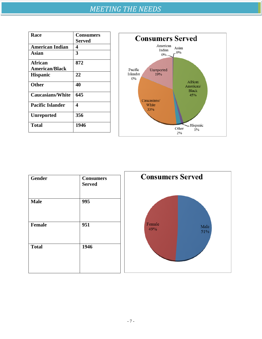| <b>Race</b>             | <b>Consumers</b> |
|-------------------------|------------------|
|                         | Served           |
| <b>American Indian</b>  | 4                |
| Asian                   | 3                |
| <b>African</b>          | 872              |
| <b>American/Black</b>   |                  |
| <b>Hispanic</b>         | 22               |
| <b>Other</b>            | 40               |
| <b>Caucasians/White</b> | 645              |
| <b>Pacific Islander</b> | 4                |
| <b>Unreported</b>       | 356              |
| <b>Total</b>            | 1946             |



| <b>Gender</b> | <b>Consumers</b><br><b>Served</b> | <b>Consumers Served</b>      |
|---------------|-----------------------------------|------------------------------|
| <b>Male</b>   | 995                               |                              |
| Female        | 951                               | Female<br>Male<br>49%<br>51% |
| <b>Total</b>  | 1946                              |                              |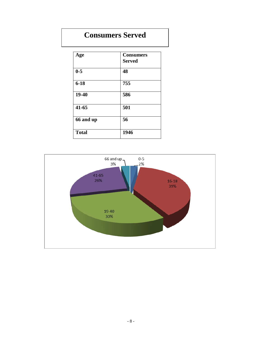# **Consumers Served**

| Age          | <b>Consumers</b><br><b>Served</b> |
|--------------|-----------------------------------|
| $0 - 5$      | 48                                |
| $6 - 18$     | 755                               |
| 19-40        | 586                               |
| $41 - 65$    | 501                               |
| 66 and up    | 56                                |
| <b>Total</b> | 1946                              |